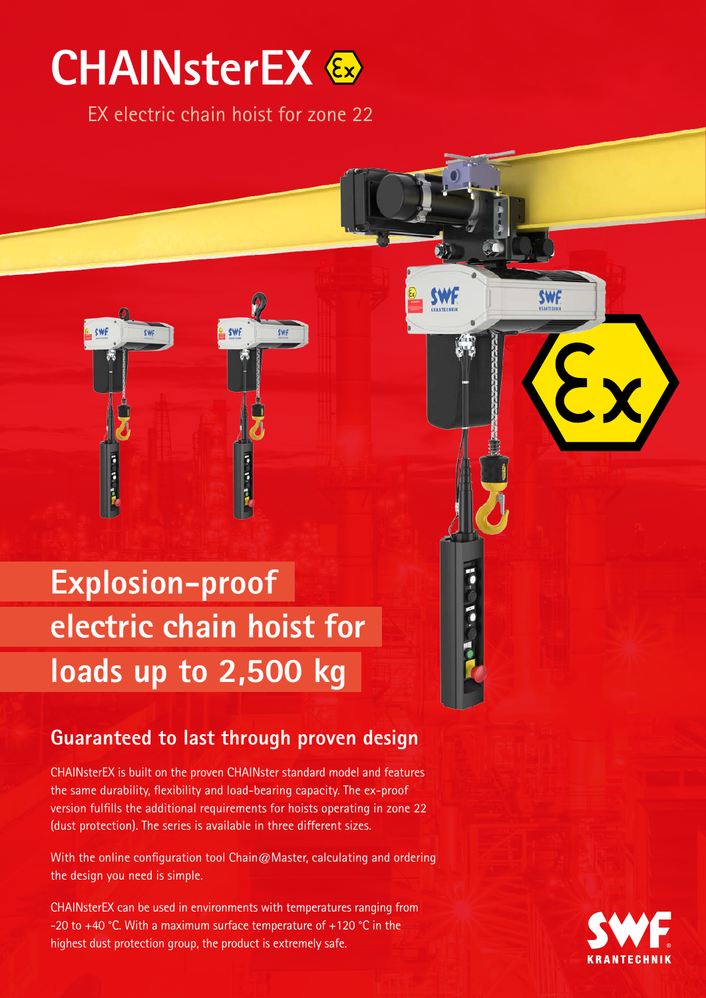## **CHAINsterEX**

EX electric chain hoist for zone 22

**SWF** 

**SWF** 



## **Guaranteed to last through proven design**

CHAINsterEX is built on the proven CHAINster standard model and features the same durability, flexibility and load-bearing capacity. The ex-proof version fulfills the additional requirements for hoists operating in zone 22 (dust protection). The series is available in three different sizes.

With the online configuration tool Chain@Master, calculating and ordering the design you need is simple.

CHAINsterEX can be used in environments with temperatures ranging from -20 to +40 °C. With a maximum surface temperature of +120 °C in the highest dust protection group, the product is extremely safe.